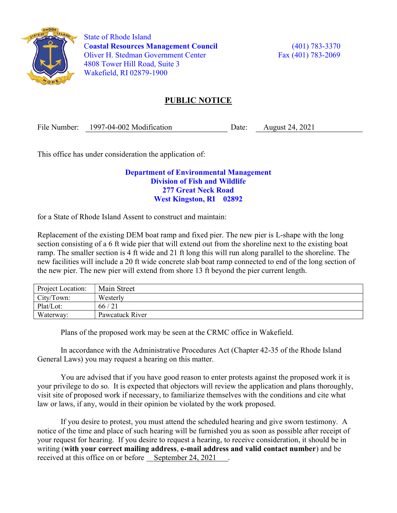

 State of Rhode Island Coastal Resources Management Council (401) 783-3370 Oliver H. Stedman Government Center Fax (401) 783-2069 4808 Tower Hill Road, Suite 3 Wakefield, RI 02879-1900

## PUBLIC NOTICE

File Number: 1997-04-002 Modification Date: August 24, 2021

This office has under consideration the application of:

## Department of Environmental Management Division of Fish and Wildlife 277 Great Neck Road West Kingston, RI 02892

for a State of Rhode Island Assent to construct and maintain:

Replacement of the existing DEM boat ramp and fixed pier. The new pier is L-shape with the long section consisting of a 6 ft wide pier that will extend out from the shoreline next to the existing boat ramp. The smaller section is 4 ft wide and 21 ft long this will run along parallel to the shoreline. The new facilities will include a 20 ft wide concrete slab boat ramp connected to end of the long section of the new pier. The new pier will extend from shore 13 ft beyond the pier current length.

| Project Location: | Main Street     |
|-------------------|-----------------|
| City/Town:        | Westerly        |
| Plat/Lot:         | 66/21           |
| Waterway:         | Pawcatuck River |

Plans of the proposed work may be seen at the CRMC office in Wakefield.

In accordance with the Administrative Procedures Act (Chapter 42-35 of the Rhode Island General Laws) you may request a hearing on this matter.

You are advised that if you have good reason to enter protests against the proposed work it is your privilege to do so. It is expected that objectors will review the application and plans thoroughly, visit site of proposed work if necessary, to familiarize themselves with the conditions and cite what law or laws, if any, would in their opinion be violated by the work proposed.

If you desire to protest, you must attend the scheduled hearing and give sworn testimony. A notice of the time and place of such hearing will be furnished you as soon as possible after receipt of your request for hearing. If you desire to request a hearing, to receive consideration, it should be in writing (with your correct mailing address, e-mail address and valid contact number) and be received at this office on or before September 24, 2021